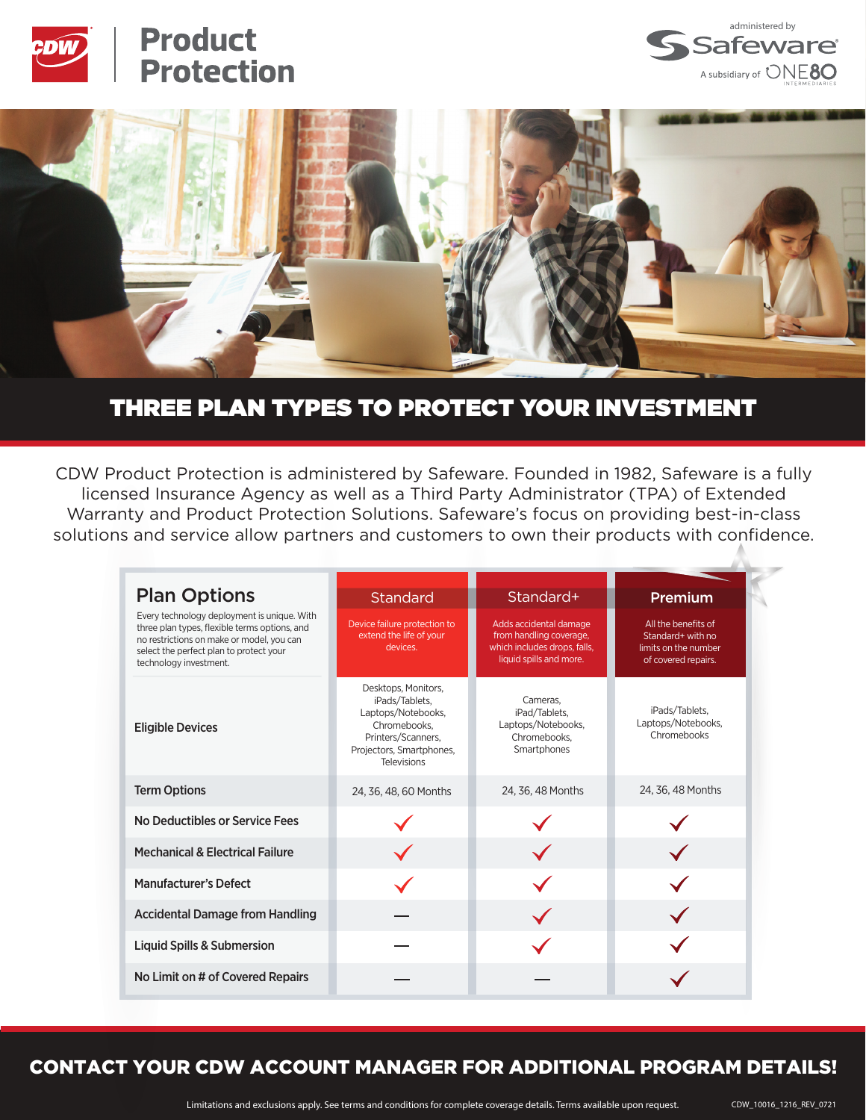

# **Product Protection**





## THREE PLAN TYPES TO PROTECT YOUR INVESTMENT

CDW Product Protection is administered by Safeware. Founded in 1982, Safeware is a fully licensed Insurance Agency as well as a Third Party Administrator (TPA) of Extended Warranty and Product Protection Solutions. Safeware's focus on providing best-in-class solutions and service allow partners and customers to own their products with confidence.

| <b>Plan Options</b>                                                                                                                                                                                            | Standard                                                                                                                                            | Standard+                                                                                                    | Premium                                                                                 |
|----------------------------------------------------------------------------------------------------------------------------------------------------------------------------------------------------------------|-----------------------------------------------------------------------------------------------------------------------------------------------------|--------------------------------------------------------------------------------------------------------------|-----------------------------------------------------------------------------------------|
| Every technology deployment is unique. With<br>three plan types, flexible terms options, and<br>no restrictions on make or model, you can<br>select the perfect plan to protect your<br>technology investment. | Device failure protection to<br>extend the life of your<br>devices.                                                                                 | Adds accidental damage<br>from handling coverage,<br>which includes drops, falls,<br>liquid spills and more. | All the benefits of<br>Standard+ with no<br>limits on the number<br>of covered repairs. |
| <b>Eligible Devices</b>                                                                                                                                                                                        | Desktops, Monitors,<br>iPads/Tablets,<br>Laptops/Notebooks,<br>Chromebooks.<br>Printers/Scanners,<br>Projectors, Smartphones,<br><b>Televisions</b> | Cameras.<br>iPad/Tablets,<br>Laptops/Notebooks,<br>Chromebooks.<br>Smartphones                               | iPads/Tablets,<br>Laptops/Notebooks,<br>Chromebooks                                     |
| <b>Term Options</b>                                                                                                                                                                                            | 24, 36, 48, 60 Months                                                                                                                               | 24, 36, 48 Months                                                                                            | 24, 36, 48 Months                                                                       |
| No Deductibles or Service Fees                                                                                                                                                                                 |                                                                                                                                                     |                                                                                                              |                                                                                         |
| <b>Mechanical &amp; Electrical Failure</b>                                                                                                                                                                     |                                                                                                                                                     |                                                                                                              |                                                                                         |
| <b>Manufacturer's Defect</b>                                                                                                                                                                                   |                                                                                                                                                     |                                                                                                              |                                                                                         |
| <b>Accidental Damage from Handling</b>                                                                                                                                                                         |                                                                                                                                                     |                                                                                                              |                                                                                         |
| Liquid Spills & Submersion                                                                                                                                                                                     |                                                                                                                                                     |                                                                                                              |                                                                                         |
| No Limit on # of Covered Repairs                                                                                                                                                                               |                                                                                                                                                     |                                                                                                              |                                                                                         |

### CONTACT YOUR CDW ACCOUNT MANAGER FOR ADDITIONAL PROGRAM DETAILS!